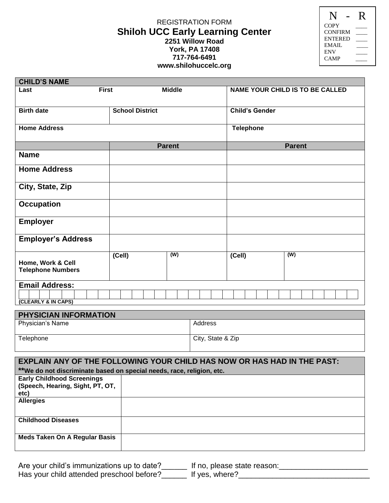## REGISTRATION FORM **Shiloh UCC Early Learning Center 2251 Willow Road York, PA 17408 717-764-6491 www.shilohuccelc.org**

|                | K |
|----------------|---|
| <b>COPY</b>    |   |
| <b>CONFIRM</b> |   |
| <b>ENTERED</b> |   |
| EMAIL.         |   |
| <b>ENV</b>     |   |
| CAMP           |   |
|                |   |

| <b>CHILD'S NAME</b>                           |                        |                           |                  |                                        |
|-----------------------------------------------|------------------------|---------------------------|------------------|----------------------------------------|
| Last                                          | <b>First</b>           | <b>Middle</b>             |                  | <b>NAME YOUR CHILD IS TO BE CALLED</b> |
| <b>Birth date</b>                             | <b>School District</b> |                           | Child's Gender   |                                        |
| <b>Home Address</b>                           |                        |                           | <b>Telephone</b> |                                        |
|                                               |                        | <b>Parent</b>             |                  | <b>Parent</b>                          |
| <b>Name</b>                                   |                        |                           |                  |                                        |
| <b>Home Address</b>                           |                        |                           |                  |                                        |
| City, State, Zip                              |                        |                           |                  |                                        |
| <b>Occupation</b>                             |                        |                           |                  |                                        |
| <b>Employer</b>                               |                        |                           |                  |                                        |
| <b>Employer's Address</b>                     |                        |                           |                  |                                        |
| Home, Work & Cell<br><b>Telephone Numbers</b> | (Cell)                 | $\overline{(\mathsf{W})}$ | (Cell)           | $\overline{(W)}$                       |
| <b>Email Address:</b>                         |                        |                           |                  |                                        |
| (CLEARLY & IN CAPS)                           |                        |                           |                  |                                        |
|                                               |                        |                           |                  |                                        |
| PHYSICIAN INFORMATION                         |                        |                           |                  |                                        |
| Physician's Name                              |                        | Address                   |                  |                                        |

| <b>Physician's Name</b> | Address           |
|-------------------------|-------------------|
| Telephone               | City, State & Zip |

| <b>EXPLAIN ANY OF THE FOLLOWING YOUR CHILD HAS NOW OR HAS HAD IN THE PAST:</b> |  |  |
|--------------------------------------------------------------------------------|--|--|
| **We do not discriminate based on special needs, race, religion, etc.          |  |  |
| <b>Early Childhood Screenings</b>                                              |  |  |
| (Speech, Hearing, Sight, PT, OT,                                               |  |  |
| etc)                                                                           |  |  |
| <b>Allergies</b>                                                               |  |  |
|                                                                                |  |  |
|                                                                                |  |  |
| <b>Childhood Diseases</b>                                                      |  |  |
|                                                                                |  |  |
| <b>Meds Taken On A Regular Basis</b>                                           |  |  |
|                                                                                |  |  |
|                                                                                |  |  |

| Are your child's immunizations up to date? | If no, please state reason: |
|--------------------------------------------|-----------------------------|
| Has your child attended preschool before?  | If yes, where?              |